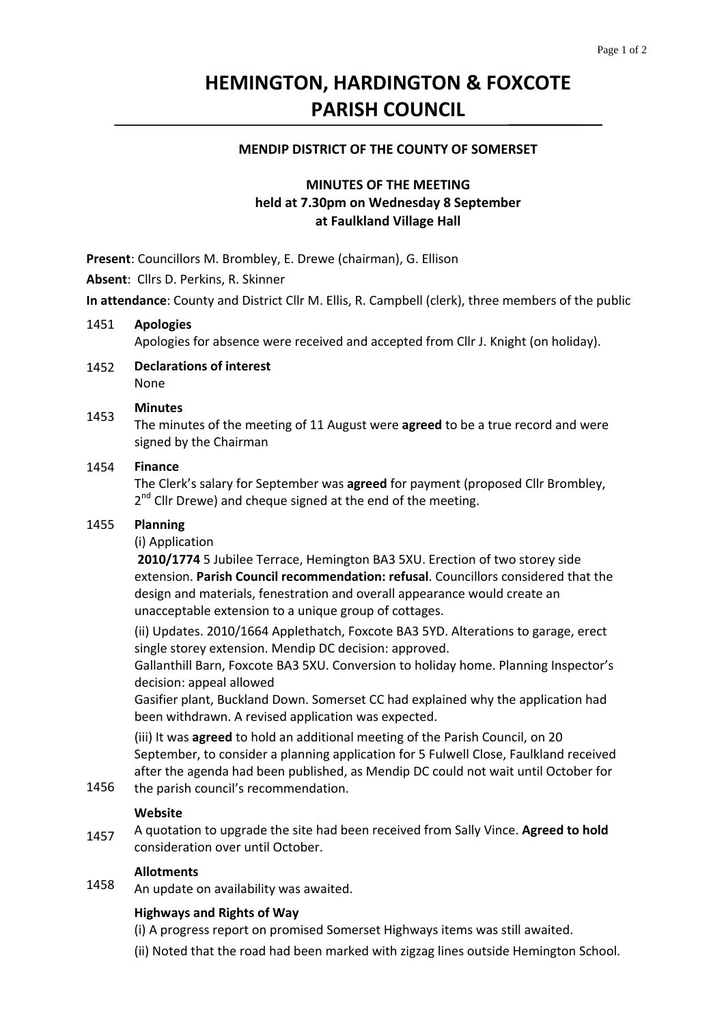# **HEMINGTON, HARDINGTON & FOXCOTE PARISH COUNCIL**

### **MENDIP DISTRICT OF THE COUNTY OF SOMERSET**

# **MINUTES OF THE MEETING held at 7.30pm on Wednesday 8 September at Faulkland Village Hall**

**Present**: Councillors M. Brombley, E. Drewe (chairman), G. Ellison

**Absent**: Cllrs D. Perkins, R. Skinner

**In attendance**: County and District Cllr M. Ellis, R. Campbell (clerk), three members of the public

#### 1451 **Apologies**

Apologies for absence were received and accepted from Cllr J. Knight (on holiday).

1452 **Declarations of interest** None

### 1453 **Minutes**

The minutes of the meeting of 11 August were **agreed** to be a true record and were signed by the Chairman

#### 1454 **Finance**

The Clerk's salary for September was **agreed** for payment (proposed Cllr Brombley,  $2<sup>nd</sup>$  Cllr Drewe) and cheque signed at the end of the meeting.

#### 1455 **Planning**

### (i) Application

**2010/1774** 5 Jubilee Terrace, Hemington BA3 5XU. Erection of two storey side extension. **Parish Council recommendation: refusal**. Councillors considered that the design and materials, fenestration and overall appearance would create an unacceptable extension to a unique group of cottages.

(ii) Updates. 2010/1664 Applethatch, Foxcote BA3 5YD. Alterations to garage, erect single storey extension. Mendip DC decision: approved.

Gallanthill Barn, Foxcote BA3 5XU. Conversion to holiday home. Planning Inspector's decision: appeal allowed

Gasifier plant, Buckland Down. Somerset CC had explained why the application had been withdrawn. A revised application was expected.

(iii) It was **agreed** to hold an additional meeting of the Parish Council, on 20 September, to consider a planning application for 5 Fulwell Close, Faulkland received after the agenda had been published, as Mendip DC could not wait until October for

1456 the parish council's recommendation.

### **Website**

1457 A quotation to upgrade the site had been received from Sally Vince. **Agreed to hold** consideration over until October.

### **Allotments**

1458 An update on availability was awaited.

### **Highways and Rights of Way**

(i) A progress report on promised Somerset Highways items was still awaited.

(ii) Noted that the road had been marked with zigzag lines outside Hemington School.